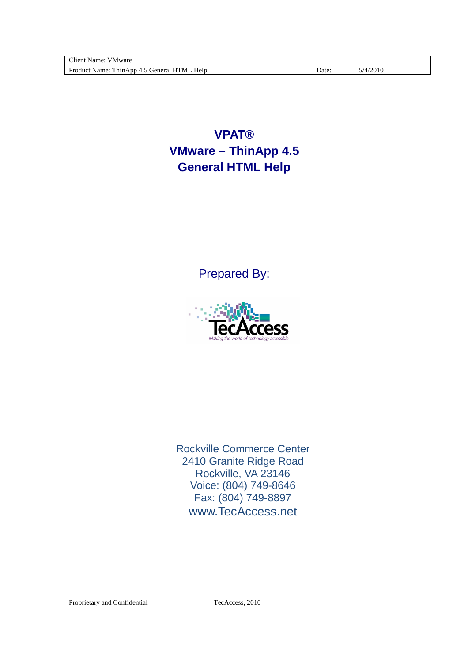| $\sim$ .<br><b>TTM</b><br>∃ient:<br>v Mware<br>Name:   |      |               |
|--------------------------------------------------------|------|---------------|
| Help<br>General HTML<br>Product.<br>Name:<br>ThinApp 4 | Date | /2010<br>/4 ا |

**VPAT® VMware – ThinApp 4.5 General HTML Help** 

Prepared By:



Rockville Commerce Center 2410 Granite Ridge Road Rockville, VA 23146 Voice: (804) 749-8646 Fax: (804) 749-8897 www.TecAccess.net

Proprietary and Confidential CTecAccess, 2010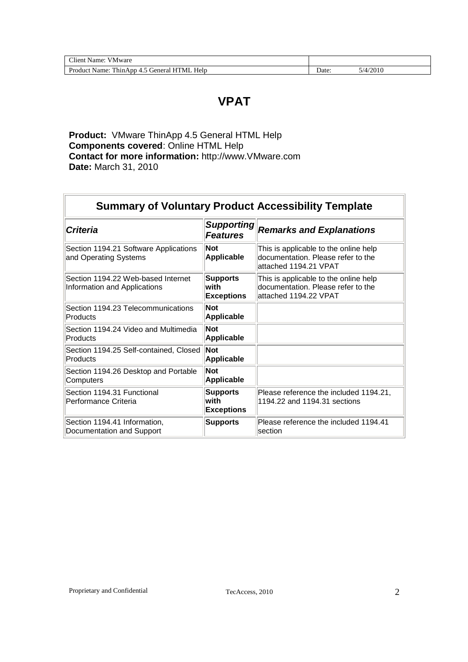| Client Name:<br>VMware                           |      |          |
|--------------------------------------------------|------|----------|
| Product Name: ThinApp 4.5 General HTML<br>. Help | Date | 5/4/2010 |

### **VPAT**

**Product:** VMware ThinApp 4.5 General HTML Help **Components covered**: Online HTML Help **Contact for more information:** http://www.VMware.com **Date:** March 31, 2010

| <b>Summary of Voluntary Product Accessibility Template</b>         |                                               |                                                                                                       |  |
|--------------------------------------------------------------------|-----------------------------------------------|-------------------------------------------------------------------------------------------------------|--|
| <b>Criteria</b>                                                    | <b>Supporting</b><br><b>Features</b>          | <b>Remarks and Explanations</b>                                                                       |  |
| Section 1194.21 Software Applications<br>and Operating Systems     | <b>Not</b><br><b>Applicable</b>               | This is applicable to the online help<br>documentation. Please refer to the<br>lattached 1194.21 VPAT |  |
| Section 1194.22 Web-based Internet<br>Information and Applications | <b>Supports</b><br>with<br><b>Exceptions</b>  | This is applicable to the online help<br>documentation. Please refer to the<br>attached 1194.22 VPAT  |  |
| Section 1194.23 Telecommunications<br>Products                     | <b>Not</b><br>Applicable                      |                                                                                                       |  |
| Section 1194.24 Video and Multimedia<br>Products                   | <b>Not</b><br>Applicable                      |                                                                                                       |  |
| Section 1194.25 Self-contained, Closed<br>Products                 | Not<br>Applicable                             |                                                                                                       |  |
| Section 1194.26 Desktop and Portable<br>Computers                  | <b>Not</b><br>Applicable                      |                                                                                                       |  |
| Section 1194.31 Functional<br>Performance Criteria                 | <b>Supports</b><br>lwith<br><b>Exceptions</b> | Please reference the included 1194.21,<br>1194.22 and 1194.31 sections                                |  |
| Section 1194.41 Information,<br>Documentation and Support          | <b>Supports</b>                               | Please reference the included 1194.41<br><b>section</b>                                               |  |

 $\overline{r}$ 

÷.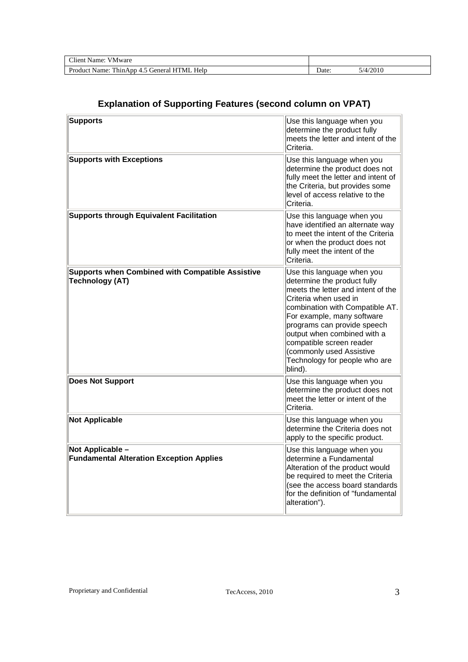| $\sim$<br>$ -$<br>ware<br>$\cdots$<br>√ame<br>'N/L                                                                                                  |                |        |
|-----------------------------------------------------------------------------------------------------------------------------------------------------|----------------|--------|
| $\mathbf{v}$ $\mathbf{v}$ $\mathbf{v}$<br>T11<br>$\mathbf{D}_{\mathbf{r}c}$<br>'N/LI<br>Help<br>$\alpha$ n $\alpha$ no<br>ш<br>$\sim$<br>Name.<br>. | $\Delta$ Date: | (2010) |

### **Explanation of Supporting Features (second column on VPAT)**

| <b>Supports</b>                                                                   | Use this language when you<br>determine the product fully<br>meets the letter and intent of the<br>Criteria.                                                                                                                                                                                                                                                |
|-----------------------------------------------------------------------------------|-------------------------------------------------------------------------------------------------------------------------------------------------------------------------------------------------------------------------------------------------------------------------------------------------------------------------------------------------------------|
| <b>Supports with Exceptions</b>                                                   | Use this language when you<br>determine the product does not<br>fully meet the letter and intent of<br>the Criteria, but provides some<br>level of access relative to the<br>Criteria.                                                                                                                                                                      |
| <b>Supports through Equivalent Facilitation</b>                                   | Use this language when you<br>have identified an alternate way<br>to meet the intent of the Criteria<br>or when the product does not<br>fully meet the intent of the<br>Criteria.                                                                                                                                                                           |
| <b>Supports when Combined with Compatible Assistive</b><br><b>Technology (AT)</b> | Use this language when you<br>determine the product fully<br>meets the letter and intent of the<br>Criteria when used in<br>combination with Compatible AT.<br>For example, many software<br>programs can provide speech<br>output when combined with a<br>compatible screen reader<br>(commonly used Assistive<br>Technology for people who are<br>blind). |
| <b>Does Not Support</b>                                                           | Use this language when you<br>determine the product does not<br>meet the letter or intent of the<br>Criteria.                                                                                                                                                                                                                                               |
| <b>Not Applicable</b>                                                             | Use this language when you<br>determine the Criteria does not<br>apply to the specific product.                                                                                                                                                                                                                                                             |
| Not Applicable -<br><b>Fundamental Alteration Exception Applies</b>               | Use this language when you<br>determine a Fundamental<br>Alteration of the product would<br>be required to meet the Criteria<br>(see the access board standards<br>for the definition of "fundamental<br>alteration").                                                                                                                                      |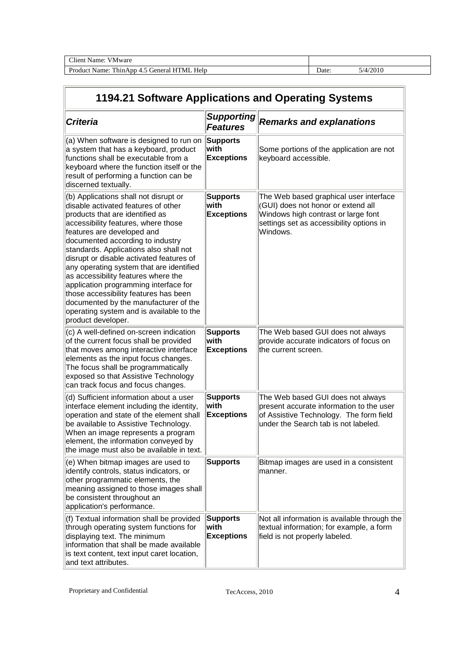| $\sim$<br>V Mware<br>∶lient<br>Name:                                                      |       |               |
|-------------------------------------------------------------------------------------------|-------|---------------|
| Help<br>Product<br>T11<br>"ML<br>н.<br>ieneral<br>Name:<br>Thin.<br>App<br>$\Delta$<br>т. | Date: | 4/2010<br>1/4 |

# **1194.21 Software Applications and Operating Systems**

| <b>Criteria</b>                                                                                                                                                                                                                                                                                                                                                                                                                                                                                                                                                                                | <b>Supporting</b><br><b>Features</b>          | <b>Remarks and explanations</b>                                                                                                                                             |
|------------------------------------------------------------------------------------------------------------------------------------------------------------------------------------------------------------------------------------------------------------------------------------------------------------------------------------------------------------------------------------------------------------------------------------------------------------------------------------------------------------------------------------------------------------------------------------------------|-----------------------------------------------|-----------------------------------------------------------------------------------------------------------------------------------------------------------------------------|
| (a) When software is designed to run on<br>a system that has a keyboard, product<br>functions shall be executable from a<br>keyboard where the function itself or the<br>result of performing a function can be<br>discerned textually.                                                                                                                                                                                                                                                                                                                                                        | Supports<br>with<br><b>Exceptions</b>         | Some portions of the application are not<br>keyboard accessible.                                                                                                            |
| (b) Applications shall not disrupt or<br>disable activated features of other<br>products that are identified as<br>accessibility features, where those<br>features are developed and<br>documented according to industry<br>standards. Applications also shall not<br>disrupt or disable activated features of<br>any operating system that are identified<br>as accessibility features where the<br>application programming interface for<br>those accessibility features has been<br>documented by the manufacturer of the<br>operating system and is available to the<br>product developer. | <b>Supports</b><br>with<br><b>Exceptions</b>  | The Web based graphical user interface<br>(GUI) does not honor or extend all<br>Windows high contrast or large font<br>settings set as accessibility options in<br>Windows. |
| (c) A well-defined on-screen indication<br>of the current focus shall be provided<br>that moves among interactive interface<br>elements as the input focus changes.<br>The focus shall be programmatically<br>exposed so that Assistive Technology<br>can track focus and focus changes.                                                                                                                                                                                                                                                                                                       | <b>Supports</b><br>with<br><b>Exceptions</b>  | The Web based GUI does not always<br>provide accurate indicators of focus on<br>the current screen.                                                                         |
| (d) Sufficient information about a user<br>interface element including the identity,<br>operation and state of the element shall<br>be available to Assistive Technology.<br>When an image represents a program<br>element, the information conveyed by<br>the image must also be available in text.                                                                                                                                                                                                                                                                                           | <b>Supports</b><br>with<br><b>Exceptions</b>  | The Web based GUI does not always<br>present accurate information to the user<br>of Assistive Technology. The form field<br>under the Search tab is not labeled.            |
| (e) When bitmap images are used to<br>identify controls, status indicators, or<br>other programmatic elements, the<br>meaning assigned to those images shall<br>be consistent throughout an<br>application's performance.                                                                                                                                                                                                                                                                                                                                                                      | Supports                                      | Bitmap images are used in a consistent<br>manner.                                                                                                                           |
| (f) Textual information shall be provided<br>through operating system functions for<br>displaying text. The minimum<br>information that shall be made available<br>is text content, text input caret location,<br>and text attributes.                                                                                                                                                                                                                                                                                                                                                         | <b>Supports</b><br>lwith<br><b>Exceptions</b> | Not all information is available through the<br>textual information; for example, a form<br>field is not properly labeled.                                                  |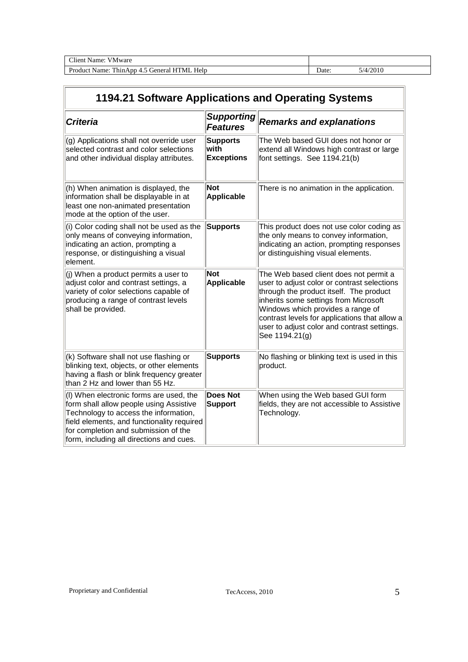| Client<br>VMware<br>Name <sup>.</sup>                                                                      |       |       |
|------------------------------------------------------------------------------------------------------------|-------|-------|
| $TT-1$<br>$Dr_{\Omega}$<br>Help<br>rener <sup>o</sup><br>Name:<br>!`hır<br>Ann<br>duct<br>$\mathbf{w}$<br> | Date: | /2010 |

# **1194.21 Software Applications and Operating Systems**

| <b>Criteria</b>                                                                                                                                                                                                                                               | <b>Supporting</b><br><b>Features</b>         | <b>Remarks and explanations</b>                                                                                                                                                                                                                                                                                                  |
|---------------------------------------------------------------------------------------------------------------------------------------------------------------------------------------------------------------------------------------------------------------|----------------------------------------------|----------------------------------------------------------------------------------------------------------------------------------------------------------------------------------------------------------------------------------------------------------------------------------------------------------------------------------|
| (g) Applications shall not override user<br>selected contrast and color selections<br>and other individual display attributes.                                                                                                                                | <b>Supports</b><br>with<br><b>Exceptions</b> | The Web based GUI does not honor or<br>extend all Windows high contrast or large<br>font settings. See 1194.21(b)                                                                                                                                                                                                                |
| (h) When animation is displayed, the<br>information shall be displayable in at<br>least one non-animated presentation<br>mode at the option of the user.                                                                                                      | <b>Not</b><br>Applicable                     | There is no animation in the application.                                                                                                                                                                                                                                                                                        |
| (i) Color coding shall not be used as the<br>only means of conveying information,<br>indicating an action, prompting a<br>response, or distinguishing a visual<br>element.                                                                                    | <b>Supports</b>                              | This product does not use color coding as<br>the only means to convey information,<br>indicating an action, prompting responses<br>or distinguishing visual elements.                                                                                                                                                            |
| $ $ (j) When a product permits a user to<br>adjust color and contrast settings, a<br>variety of color selections capable of<br>producing a range of contrast levels<br>shall be provided.                                                                     | <b>Not</b><br>Applicable                     | The Web based client does not permit a<br>user to adjust color or contrast selections<br>through the product itself. The product<br>inherits some settings from Microsoft<br>Windows which provides a range of<br>contrast levels for applications that allow a<br>user to adjust color and contrast settings.<br>See 1194.21(g) |
| (k) Software shall not use flashing or<br>blinking text, objects, or other elements<br>having a flash or blink frequency greater<br>than 2 Hz and lower than 55 Hz.                                                                                           | <b>Supports</b>                              | No flashing or blinking text is used in this<br>product.                                                                                                                                                                                                                                                                         |
| (I) When electronic forms are used, the<br>form shall allow people using Assistive<br>Technology to access the information,<br>field elements, and functionality required<br>for completion and submission of the<br>form, including all directions and cues. | <b>Does Not</b><br><b>Support</b>            | When using the Web based GUI form<br>fields, they are not accessible to Assistive<br>Technology.                                                                                                                                                                                                                                 |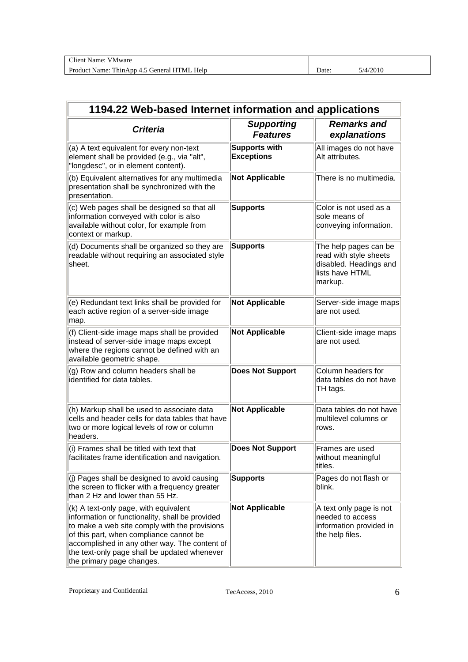| $\sim$<br>Name<br>'Mware<br>`lieni -                                        |       |       |
|-----------------------------------------------------------------------------|-------|-------|
| Help<br>--<br>Product<br>Thin.<br>™U<br>H′<br>ieneral<br>Name:<br>App<br>т. | Jate: | /2010 |

| 1194.22 Web-based Internet information and applications                                                                                                                                                                                                                                                            |                                           |                                                                                                         |  |  |
|--------------------------------------------------------------------------------------------------------------------------------------------------------------------------------------------------------------------------------------------------------------------------------------------------------------------|-------------------------------------------|---------------------------------------------------------------------------------------------------------|--|--|
| <b>Criteria</b>                                                                                                                                                                                                                                                                                                    | <b>Supporting</b><br><b>Features</b>      | <b>Remarks and</b><br>explanations                                                                      |  |  |
| (a) A text equivalent for every non-text<br>element shall be provided (e.g., via "alt",<br>"longdesc", or in element content).                                                                                                                                                                                     | <b>Supports with</b><br><b>Exceptions</b> | All images do not have<br>Alt attributes.                                                               |  |  |
| (b) Equivalent alternatives for any multimedia<br>presentation shall be synchronized with the<br>presentation.                                                                                                                                                                                                     | <b>Not Applicable</b>                     | There is no multimedia.                                                                                 |  |  |
| (c) Web pages shall be designed so that all<br>information conveyed with color is also<br>available without color, for example from<br>context or markup.                                                                                                                                                          | <b>Supports</b>                           | Color is not used as a<br>sole means of<br>conveying information.                                       |  |  |
| (d) Documents shall be organized so they are<br>readable without requiring an associated style<br>sheet.                                                                                                                                                                                                           | <b>Supports</b>                           | The help pages can be<br>read with style sheets<br>disabled. Headings and<br>lists have HTML<br>markup. |  |  |
| (e) Redundant text links shall be provided for<br>each active region of a server-side image<br>map.                                                                                                                                                                                                                | <b>Not Applicable</b>                     | Server-side image maps<br>are not used.                                                                 |  |  |
| (f) Client-side image maps shall be provided<br>instead of server-side image maps except<br>where the regions cannot be defined with an<br>available geometric shape.                                                                                                                                              | <b>Not Applicable</b>                     | Client-side image maps<br>are not used.                                                                 |  |  |
| (g) Row and column headers shall be<br>identified for data tables.                                                                                                                                                                                                                                                 | <b>Does Not Support</b>                   | Column headers for<br>data tables do not have<br>TH tags.                                               |  |  |
| (h) Markup shall be used to associate data<br>cells and header cells for data tables that have<br>two or more logical levels of row or column<br>headers.                                                                                                                                                          | <b>Not Applicable</b>                     | Data tables do not have<br>multilevel columns or<br>rows.                                               |  |  |
| (i) Frames shall be titled with text that<br>facilitates frame identification and navigation.                                                                                                                                                                                                                      | <b>Does Not Support</b>                   | Frames are used<br>without meaningful<br>titles.                                                        |  |  |
| $\vert$ (j) Pages shall be designed to avoid causing<br>the screen to flicker with a frequency greater<br>than 2 Hz and lower than 55 Hz.                                                                                                                                                                          | <b>Supports</b>                           | Pages do not flash or<br>blink.                                                                         |  |  |
| (k) A text-only page, with equivalent<br>information or functionality, shall be provided<br>to make a web site comply with the provisions<br>of this part, when compliance cannot be<br>accomplished in any other way. The content of<br>the text-only page shall be updated whenever<br>the primary page changes. | <b>Not Applicable</b>                     | A text only page is not<br>needed to access<br>information provided in<br>the help files.               |  |  |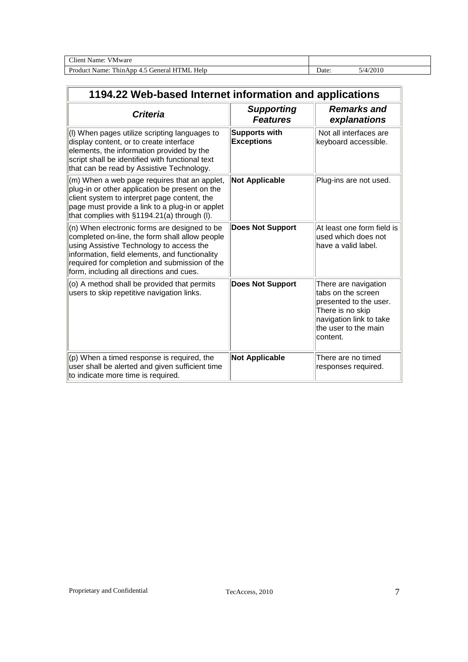| $\sim$<br>Name<br>'Mware<br>∃tent ⊺                                         |       |       |
|-----------------------------------------------------------------------------|-------|-------|
| Help<br>—<br>Product<br>'ML<br>н.<br>ienera<br>Name:<br>Thin.<br>App<br>- ت | Jate: | /2010 |

| 1194.22 Web-based Internet information and applications                                                                                                                                                                                                                                   |                                           |                                                                                                                                                         |  |
|-------------------------------------------------------------------------------------------------------------------------------------------------------------------------------------------------------------------------------------------------------------------------------------------|-------------------------------------------|---------------------------------------------------------------------------------------------------------------------------------------------------------|--|
| <b>Criteria</b>                                                                                                                                                                                                                                                                           | <b>Supporting</b><br><b>Features</b>      | <b>Remarks and</b><br>explanations                                                                                                                      |  |
| (I) When pages utilize scripting languages to<br>display content, or to create interface<br>elements, the information provided by the<br>script shall be identified with functional text<br>that can be read by Assistive Technology.                                                     | <b>Supports with</b><br><b>Exceptions</b> | Not all interfaces are<br>keyboard accessible.                                                                                                          |  |
| (m) When a web page requires that an applet,<br>plug-in or other application be present on the<br>client system to interpret page content, the<br>page must provide a link to a plug-in or applet<br>that complies with §1194.21(a) through (I).                                          | <b>Not Applicable</b>                     | Plug-ins are not used.                                                                                                                                  |  |
| (n) When electronic forms are designed to be<br>completed on-line, the form shall allow people<br>using Assistive Technology to access the<br>information, field elements, and functionality<br>required for completion and submission of the<br>form, including all directions and cues. | <b>Does Not Support</b>                   | At least one form field is<br>used which does not<br>have a valid label.                                                                                |  |
| (o) A method shall be provided that permits<br>users to skip repetitive navigation links.                                                                                                                                                                                                 | <b>Does Not Support</b>                   | There are navigation<br>tabs on the screen<br>presented to the user.<br>There is no skip<br>navigation link to take<br>the user to the main<br>content. |  |
| $(p)$ When a timed response is required, the<br>user shall be alerted and given sufficient time<br>to indicate more time is required.                                                                                                                                                     | <b>Not Applicable</b>                     | There are no timed<br>responses required.                                                                                                               |  |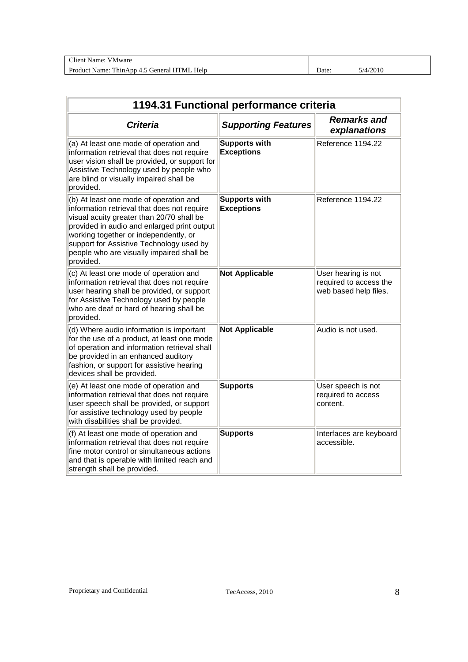| $\gamma$ lient<br>Name:<br>V Mware                                              |                |       |
|---------------------------------------------------------------------------------|----------------|-------|
| Help<br>$\mathbf{D}_{\mathbf{m}}$<br>'MI<br>\ame:<br>ThinApp<br>reneral<br>duct | $\Delta$ Date: | /2010 |

| 1194.31 Functional performance criteria                                                                                                                                                                                                                                                                                          |                                           |                                                                        |  |
|----------------------------------------------------------------------------------------------------------------------------------------------------------------------------------------------------------------------------------------------------------------------------------------------------------------------------------|-------------------------------------------|------------------------------------------------------------------------|--|
| <b>Criteria</b>                                                                                                                                                                                                                                                                                                                  | <b>Supporting Features</b>                | <b>Remarks and</b><br>explanations                                     |  |
| (a) At least one mode of operation and<br>information retrieval that does not require<br>user vision shall be provided, or support for<br>Assistive Technology used by people who<br>are blind or visually impaired shall be<br>provided.                                                                                        | <b>Supports with</b><br><b>Exceptions</b> | Reference 1194.22                                                      |  |
| (b) At least one mode of operation and<br>information retrieval that does not require<br>visual acuity greater than 20/70 shall be<br>provided in audio and enlarged print output<br>working together or independently, or<br>support for Assistive Technology used by<br>people who are visually impaired shall be<br>provided. | <b>Supports with</b><br><b>Exceptions</b> | Reference 1194.22                                                      |  |
| (c) At least one mode of operation and<br>information retrieval that does not require<br>user hearing shall be provided, or support<br>for Assistive Technology used by people<br>who are deaf or hard of hearing shall be<br>provided.                                                                                          | <b>Not Applicable</b>                     | User hearing is not<br>required to access the<br>web based help files. |  |
| (d) Where audio information is important<br>for the use of a product, at least one mode<br>of operation and information retrieval shall<br>be provided in an enhanced auditory<br>fashion, or support for assistive hearing<br>devices shall be provided.                                                                        | <b>Not Applicable</b>                     | Audio is not used.                                                     |  |
| (e) At least one mode of operation and<br>information retrieval that does not require<br>user speech shall be provided, or support<br>for assistive technology used by people<br>with disabilities shall be provided.                                                                                                            | <b>Supports</b>                           | User speech is not<br>required to access<br>content.                   |  |
| (f) At least one mode of operation and<br>information retrieval that does not require<br>fine motor control or simultaneous actions<br>and that is operable with limited reach and<br>strength shall be provided.                                                                                                                | <b>Supports</b>                           | Interfaces are keyboard<br>accessible.                                 |  |